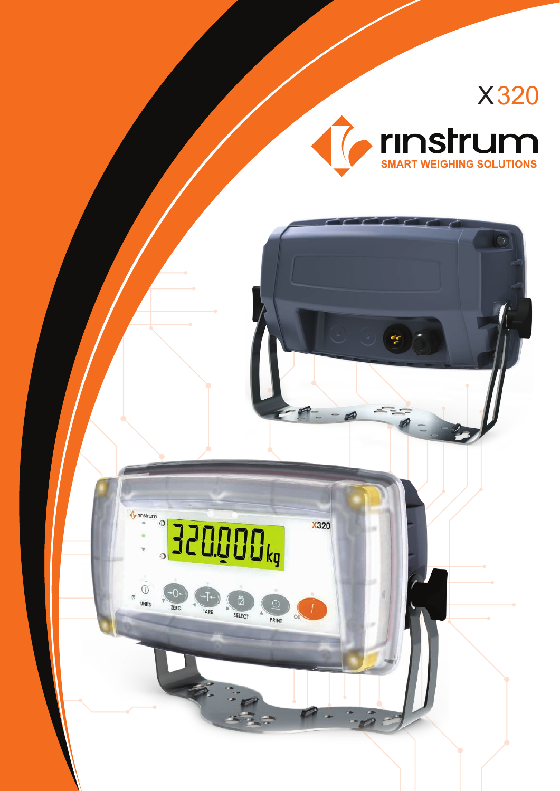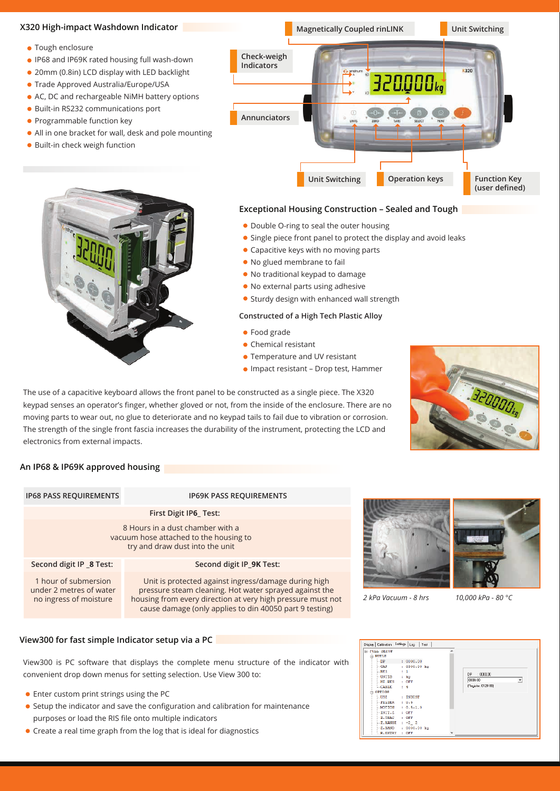

- Capacitive keys with no moving parts
- No glued membrane to fail
- No traditional keypad to damage
- No external parts using adhesive
- **Sturdy design with enhanced wall strength**

## **Constructed of a High Tech Plastic Alloy**

- **•** Food grade
- Chemical resistant
- **Temperature and UV resistant**
- Impact resistant Drop test, Hammer

The use of a capacitive keyboard allows the front panel to be constructed as a single piece. The X320 keypad senses an operator's finger, whether gloved or not, from the inside of the enclosure. There are no moving parts to wear out, no glue to deteriorate and no keypad tails to fail due to vibration or corrosion. The strength of the single front fascia increases the durability of the instrument, protecting the LCD and electronics from external impacts.



# **An IP68 & IP69K approved housing**

| <b>IP68 PASS REQUIREMENTS</b>                                                                                 | <b>IP69K PASS REQUIREMENTS</b>                                                                                                                                                                       |  |
|---------------------------------------------------------------------------------------------------------------|------------------------------------------------------------------------------------------------------------------------------------------------------------------------------------------------------|--|
| First Digit IP6 Test:                                                                                         |                                                                                                                                                                                                      |  |
| 8 Hours in a dust chamber with a<br>vacuum hose attached to the housing to<br>try and draw dust into the unit |                                                                                                                                                                                                      |  |
| Second digit IP 8 Test:                                                                                       | Second digit IP 9K Test:                                                                                                                                                                             |  |
| 1 hour of submersion<br>under 2 metres of water<br>no ingress of moisture                                     | Unit is protected against ingress/damage dur<br>pressure steam cleaning. Hot water sprayed as<br>housing from every direction at very high pressure<br>cause damage (only applies to din 40050 part) |  |







*2 kPa Vacuum - 8 hrs 10,000 kPa - 80 °C*

# **View300 for fast simple Indicator setup via a PC**

View300 is PC software that displays the complete menu structure of the indicator with convenient drop down menus for setting selection. Use View 300 to:

- Enter custom print strings using the PC
- Setup the indicator and save the configuration and calibration for maintenance purposes or load the RIS file onto multiple indicators
- Create a real time graph from the log that is ideal for diagnostics

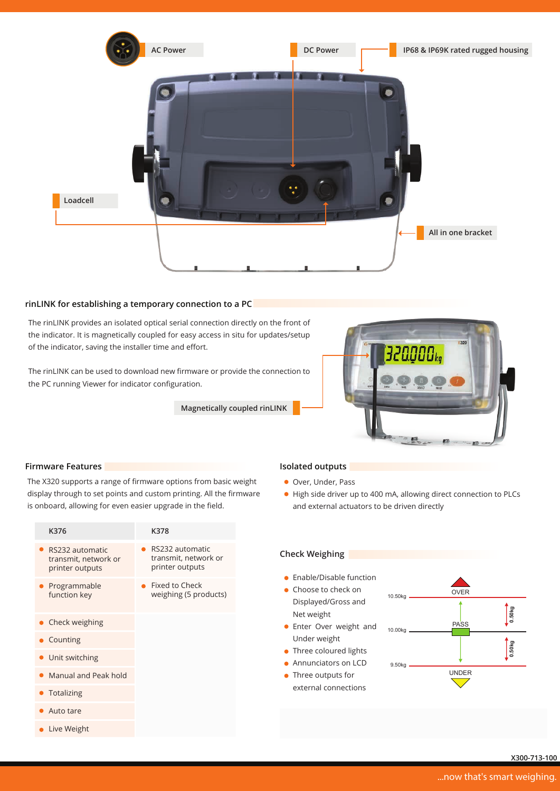

## **rinLINK for establishing a temporary connection to a PC**

The rinLINK provides an isolated optical serial connection directly on the front of the indicator. It is magnetically coupled for easy access in situ for updates/setup of the indicator, saving the installer time and effort.

The rinLINK can be used to download new firmware or provide the connection to the PC running Viewer for indicator configuration.

**Magnetically coupled rinLINK**



## **Firmware Features Isolated outputs**

The X320 supports a range of firmware options from basic weight display through to set points and custom printing. All the firmware is onboard, allowing for even easier upgrade in the field.

| K376                                                       | K378                                                       |
|------------------------------------------------------------|------------------------------------------------------------|
| RS232 automatic<br>transmit, network or<br>printer outputs | RS232 automatic<br>transmit, network or<br>printer outputs |
| Programmable<br>function key                               | Fixed to Check<br>weighing (5 products)                    |
| $\bullet$ Check weighing                                   |                                                            |
| $\bullet$ Counting                                         |                                                            |
| • Unit switching                                           |                                                            |
| Manual and Peak hold                                       |                                                            |
|                                                            |                                                            |

- Totalizing
- Auto tare
- **Live Weight**

- Over, Under, Pass
- High side driver up to 400 mA, allowing direct connection to PLCs and external actuators to be driven directly

## **Check Weighing**

- **•** Enable/Disable function
- Choose to check on Displayed/Gross and Net weight
- **•** Enter Over weight and Under weight
- Three coloured lights
- Annunciators on LCD
- Three outputs for
- external connections